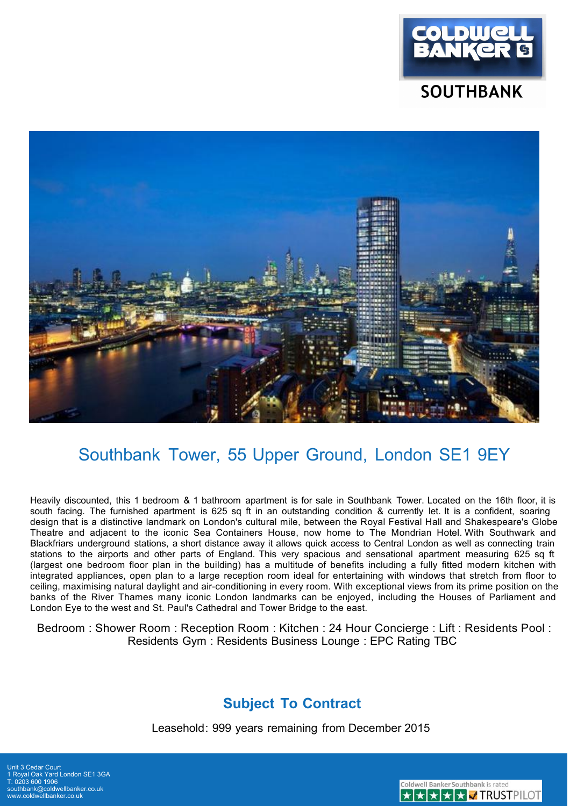

## **SOUTHBANK**



# Southbank Tower, 55 Upper Ground, London SE1 9EY

Heavily discounted, this 1 bedroom & 1 bathroom apartment is for sale in Southbank Tower. Located on the 16th floor, it is south facing. The furnished apartment is 625 sq ft in an outstanding condition & currently let. It is a confident, soaring design that is a distinctive landmark on London's cultural mile, between the Royal Festival Hall and Shakespeare's Globe Theatre and adjacent to the iconic Sea Containers House, now home to The Mondrian Hotel. With Southwark and Blackfriars underground stations, a short distance away it allows quick access to Central London as well as connecting train stations to the airports and other parts of England. This very spacious and sensational apartment measuring 625 sq ft (largest one bedroom floor plan in the building) has a multitude of benefits including a fully fitted modern kitchen with integrated appliances, open plan to a large reception room ideal for entertaining with windows that stretch from floor to ceiling, maximising natural daylight and air-conditioning in every room. With exceptional views from its prime position on the banks of the River Thames many iconic London landmarks can be enjoyed, including the Houses of Parliament and London Eye to the west and St. Paul's Cathedral and Tower Bridge to the east.

Bedroom : Shower Room : Reception Room : Kitchen : 24 Hour Concierge : Lift : Residents Pool : Residents Gym : Residents Business Lounge : EPC Rating TBC

### **Subject To Contract**

Leasehold: 999 years remaining from December 2015

Unit 3 Cedar Court 1 Royal Oak Yard London SE1 3GA  $86001906$ southbank@coldwellbanker.co.uk www.coldwellbanker.co.uk

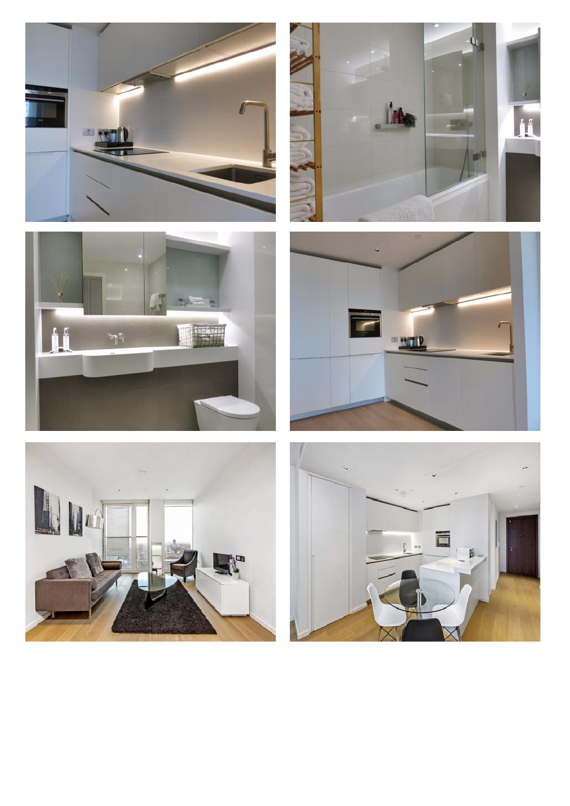









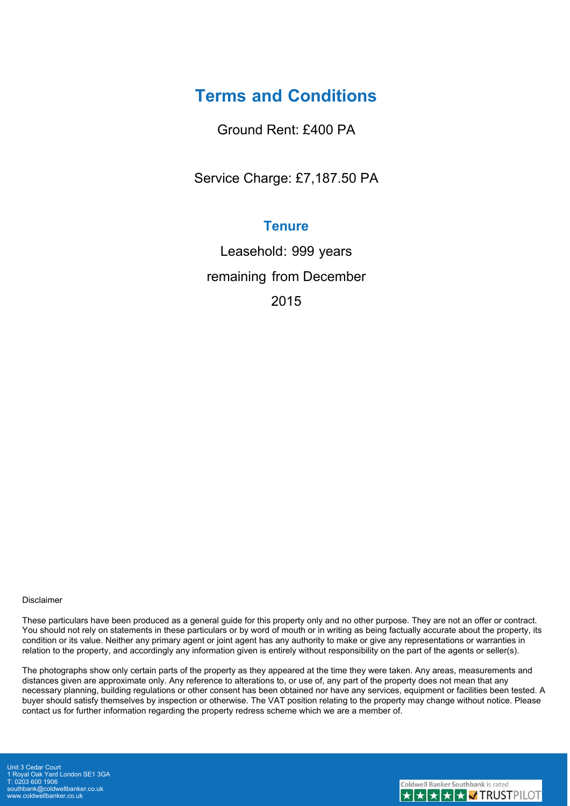### **Terms and Conditions**

Ground Rent: £400 PA

Service Charge: £7,187.50 PA

#### **Tenure**

Leasehold: 999 years remaining from December 2015

Disclaimer

These particulars have been produced as a general guide for this property only and no other purpose. They are not an offer or contract. You should not rely on statements in these particulars or by word of mouth or in writing as being factually accurate about the property, its condition or its value. Neither any primary agent or joint agent has any authority to make or give any representations or warranties in relation to the property, and accordingly any information given is entirely without responsibility on the part of the agents or seller(s).

The photographs show only certain parts of the property as they appeared at the time they were taken. Any areas, measurements and distances given are approximate only. Any reference to alterations to, or use of, any part of the property does not mean that any necessary planning, building regulations or other consent has been obtained nor have any services, equipment or facilities been tested. A buyer should satisfy themselves by inspection or otherwise. The VAT position relating to the property may change without notice. Please contact us for further information regarding the property redress scheme which we are a member of.

Unit 3 Cedar Court<br>1 Royal Oak Yard London SE1 3GA<br>T: 0203 600 1906<br>southbank@coldwellbanker.co.uk<br>www.coldwellbanker.co.uk